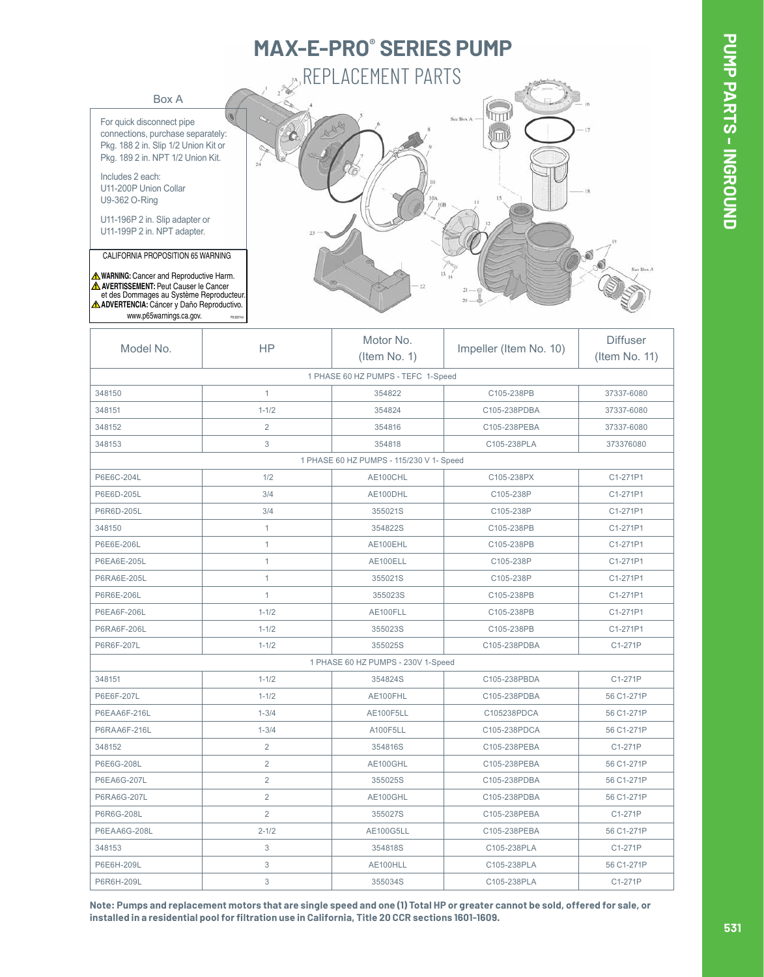## **MAX-E-PRO® SERIES PUMP REPLACEMENT PARTS**

Box A

For quick disconnect pipe connections, purchase separately: Pkg. 188 2 in. Slip 1/2 Union Kit or Pkg. 189 2 in. NPT 1/2 Union Kit.

Includes 2 each: U11-200P Union Collar U9-362 O-Ring

U11-196P 2 in. Slip adapter or U11-199P 2 in. NPT adapter.

CALIFORNIA PROPOSITION 65 WARNING

**WARNING:** Cancer and Reproductive Harm. www.p65warnings.ca.gov. **ADVERTENCIA:** Cáncer y Daño Reproductivo. **AVERTISSEMENT:** Peut Causer le Cancer et des Dommages au Système Reproducteur.



| Model No.                          | <b>HP</b>      | Motor No.<br>$($ ltem No. 1 $)$          | Impeller (Item No. 10) | <b>Diffuser</b><br>(Item No. 11) |
|------------------------------------|----------------|------------------------------------------|------------------------|----------------------------------|
|                                    |                | 1 PHASE 60 HZ PUMPS - TEFC 1-Speed       |                        |                                  |
| 348150                             | $\mathbf{1}$   | 354822                                   | C105-238PB             | 37337-6080                       |
| 348151                             | $1 - 1/2$      | 354824                                   | C105-238PDBA           | 37337-6080                       |
| 348152                             | 2              | 354816                                   | C105-238PEBA           | 37337-6080                       |
| 348153                             | 3              | 354818                                   | C105-238PLA            | 373376080                        |
|                                    |                | 1 PHASE 60 HZ PUMPS - 115/230 V 1- Speed |                        |                                  |
| P6E6C-204L                         | 1/2            | AE100CHL                                 | C105-238PX             | C1-271P1                         |
| P6E6D-205L                         | 3/4            | AE100DHL                                 | C105-238P              | C1-271P1                         |
| P6R6D-205L                         | 3/4            | 355021S                                  | C105-238P              | C1-271P1                         |
| 348150                             | $\mathbf{1}$   | 354822S                                  | C105-238PB             | C1-271P1                         |
| P6E6E-206L                         | $\mathbf{1}$   | AE100EHL                                 | C105-238PB             | C1-271P1                         |
| P6EA6E-205L                        | $\mathbf{1}$   | AE100ELL                                 | C105-238P              | C1-271P1                         |
| P6RA6E-205L                        | $\mathbf{1}$   | 355021S                                  | C105-238P              | C1-271P1                         |
| P6R6E-206L                         | $\mathbf{1}$   | 355023S                                  | C105-238PB             | C1-271P1                         |
| P6EA6F-206L                        | $1 - 1/2$      | AE100FLL                                 | C105-238PB             | C1-271P1                         |
| P6RA6F-206L                        | $1 - 1/2$      | 355023S                                  | C105-238PB             | C1-271P1                         |
| P6R6F-207L                         | $1 - 1/2$      | 355025S                                  | C105-238PDBA           | C1-271P                          |
| 1 PHASE 60 HZ PUMPS - 230V 1-Speed |                |                                          |                        |                                  |
| 348151                             | $1 - 1/2$      | 354824S                                  | C105-238PBDA           | C1-271P                          |
| P6E6F-207L                         | $1 - 1/2$      | AE100FHL                                 | C105-238PDBA           | 56 C1-271P                       |
| P6EAA6F-216L                       | $1 - 3/4$      | AE100F5LL                                | C105238PDCA            | 56 C1-271P                       |
| P6RAA6F-216L                       | $1 - 3/4$      | A100F5LL                                 | C105-238PDCA           | 56 C1-271P                       |
| 348152                             | 2              | 354816S                                  | C105-238PEBA           | C1-271P                          |
| P6E6G-208L                         | $\overline{2}$ | AE100GHL                                 | C105-238PEBA           | 56 C1-271P                       |
| P6EA6G-207L                        | $\overline{2}$ | 355025S                                  | C105-238PDBA           | 56 C1-271P                       |
| P6RA6G-207L                        | $\overline{2}$ | AE100GHL                                 | C105-238PDBA           | 56 C1-271P                       |
| P6R6G-208L                         | $\overline{2}$ | 355027S                                  | C105-238PEBA           | C1-271P                          |
| P6EAA6G-208L                       | $2 - 1/2$      | <b>AE100G5LL</b>                         | C105-238PEBA           | 56 C1-271P                       |
| 348153                             | 3              | 354818S                                  | C105-238PLA            | C1-271P                          |
| P6E6H-209L                         | $\mathfrak 3$  | AE100HLL                                 | C105-238PLA            | 56 C1-271P                       |
| P6R6H-209L                         | 3              | 355034S                                  | C105-238PLA            | C1-271P                          |
|                                    |                |                                          |                        |                                  |

**Note: Pumps and replacement motors that are single speed and one (1) Total HP or greater cannot be sold, offered for sale, or installed in a residential pool for filtration use in California, Title 20 CCR sections 1601-1609.**